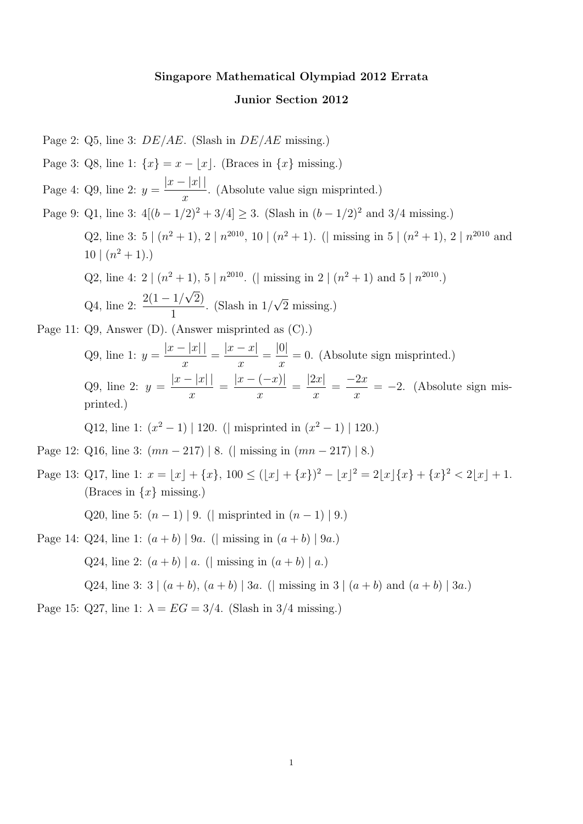# Singapore Mathematical Olympiad 2012 Errata Junior Section 2012

Page 2:  $Q5$ , line 3:  $DE/AE$ . (Slash in  $DE/AE$  missing.) Page 3: Q8, line 1:  $\{x\} = x - |x|$ . (Braces in  $\{x\}$  missing.) Page 4: Q9, line 2:  $y =$  $|x-|x||$  $\overline{x}$ . (Absolute value sign misprinted.) Page 9: Q1, line 3:  $4[(b-1/2)^2+3/4] \ge 3$ . (Slash in  $(b-1/2)^2$  and  $3/4$  missing.) Q2, line 3: 5  $(n^2+1)$ , 2  $\lfloor n^{2010} \rfloor$ , 10  $\lfloor (n^2+1) \rfloor$ . ( $\lfloor$  missing in 5  $\lfloor (n^2+1) \rfloor$ , 2  $\lfloor n^{2010} \rfloor$  and  $10 \mid (n^2 + 1).$ Q2, line 4: 2  $\lfloor (n^2+1), 5 \rfloor n^{2010}$ . ( missing in 2  $\lfloor (n^2+1) \rfloor$  and 5  $\lfloor n^{2010} \rfloor$ ) Q4, line 2:  $\frac{2(1-1)}{1}$ √ 2) 1 . (Slash in 1/ √ 2 missing.) Page 11: Q9, Answer (D). (Answer misprinted as (C).) Q9, line 1:  $y =$  $|x-|x||$  $\overline{x}$ =  $|x-x|$  $\overline{x}$ = |0|  $\overline{x}$  $= 0.$  (Absolute sign misprinted.) Q9, line 2:  $y =$  $|x-|x||$  $\overline{x}$ =  $|x - (-x)|$  $\overline{x}$ =  $|2x|$  $\overline{x}$ =  $-2x$  $\overline{x}$  $= -2.$  (Absolute sign misprinted.) Q12, line 1:  $(x^2 - 1)$  | 120. (| misprinted in  $(x^2 - 1)$  | 120.) Page 12: Q16, line 3:  $(mn - 217) | 8.$  (| missing in  $(mn - 217) | 8.$ ) Page 13: Q17, line 1:  $x = |x| + \{x\}$ ,  $100 \le (|x| + \{x\})^2 - |x|^2 = 2|x|\{x\} + \{x\}^2 < 2|x| + 1$ . (Braces in  $\{x\}$  missing.) Q20, line 5:  $(n-1) | 9$ . (| misprinted in  $(n-1) | 9$ .) Page 14: Q24, line 1:  $(a + b) | 9a$ . (| missing in  $(a + b) | 9a$ .) Q24, line 2:  $(a + b) | a$ . (| missing in  $(a + b) | a$ .) Q24, line 3:  $3 | (a + b), (a + b) | 3a.$  (| missing in  $3 | (a + b)$  and  $(a + b) | 3a.$ ) Page 15: Q27, line 1:  $\lambda = EG = 3/4$ . (Slash in 3/4 missing.)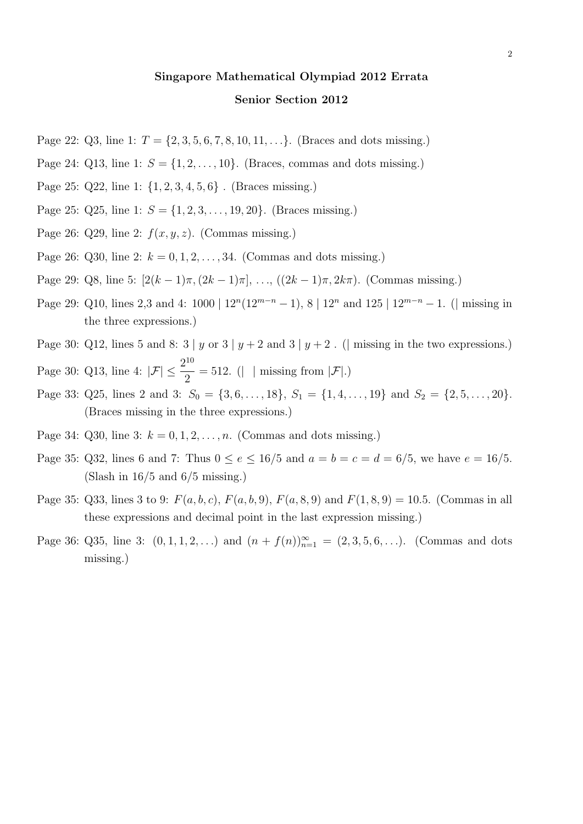# Singapore Mathematical Olympiad 2012 Errata

#### Senior Section 2012

- Page 22:  $Q3$ , line 1:  $T = \{2, 3, 5, 6, 7, 8, 10, 11, \ldots\}$ . (Braces and dots missing.)
- Page 24: Q13, line 1:  $S = \{1, 2, \ldots, 10\}$ . (Braces, commas and dots missing.)
- Page 25: Q22, line 1: {1, 2, 3, 4, 5, 6} . (Braces missing.)
- Page 25:  $Q25$ , line 1:  $S = \{1, 2, 3, \ldots, 19, 20\}$ . (Braces missing.)
- Page 26: Q29, line 2:  $f(x, y, z)$ . (Commas missing.)
- Page 26: Q30, line 2:  $k = 0, 1, 2, ..., 34$ . (Commas and dots missing.)
- Page 29: Q8, line 5:  $[2(k-1)\pi,(2k-1)\pi], \ldots, ((2k-1)\pi, 2k\pi)$ . (Commas missing.)
- Page 29: Q10, lines 2,3 and 4:  $1000 | 12^n(12^{m-n} 1)$ , 8 |  $12^n$  and  $125 | 12^{m-n} 1$ . ( missing in the three expressions.)
- Page 30: Q12, lines 5 and 8:  $3 | y \text{ or } 3 | y + 2$  and  $3 | y + 2$ . ( missing in the two expressions.)
- Page 30: Q13, line 4:  $|\mathcal{F}| \leq \frac{2^{10}}{2}$ 2  $= 512.$  (| | missing from  $|\mathcal{F}|$ .)
- Page 33: Q25, lines 2 and 3:  $S_0 = \{3, 6, ..., 18\}, S_1 = \{1, 4, ..., 19\}$  and  $S_2 = \{2, 5, ..., 20\}.$ (Braces missing in the three expressions.)
- Page 34:  $Q30$ , line 3:  $k = 0, 1, 2, ..., n$ . (Commas and dots missing.)
- Page 35: Q32, lines 6 and 7: Thus  $0 \le e \le 16/5$  and  $a = b = c = d = 6/5$ , we have  $e = 16/5$ . (Slash in  $16/5$  and  $6/5$  missing.)
- Page 35: Q33, lines 3 to 9:  $F(a, b, c)$ ,  $F(a, b, 9)$ ,  $F(a, 8, 9)$  and  $F(1, 8, 9) = 10.5$ . (Commas in all these expressions and decimal point in the last expression missing.)
- Page 36: Q35, line 3:  $(0, 1, 1, 2, ...)$  and  $(n + f(n))_{n=1}^{\infty} = (2, 3, 5, 6, ...)$ . (Commas and dots missing.)